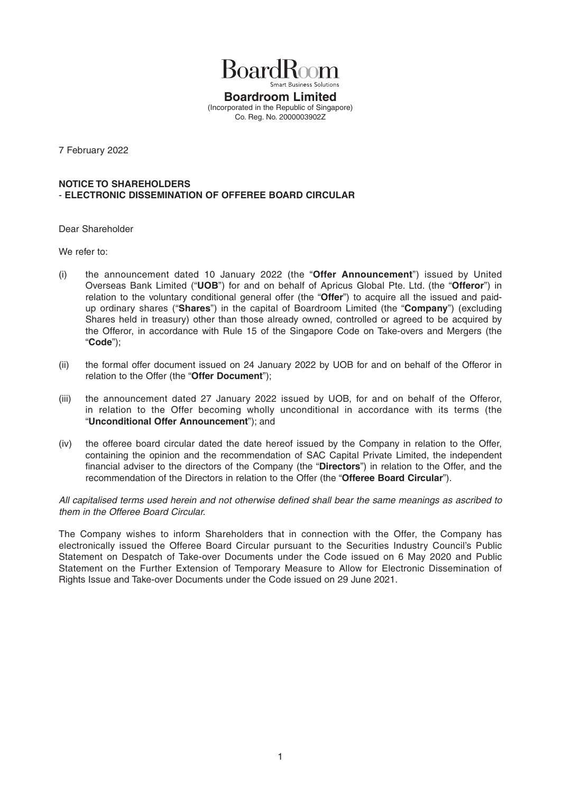

**Boardroom Limited**  (Incorporated in the Republic of Singapore) Co. Reg. No. 2000003902Z

7 February 2022

## **NOTICE TO SHAREHOLDERS**  - **ELECTRONIC DISSEMINATION OF OFFEREE BOARD CIRCULAR**

Dear Shareholder

We refer to:

- (i) the announcement dated 10 January 2022 (the "**Offer Announcement**") issued by United Overseas Bank Limited ("**UOB**") for and on behalf of Apricus Global Pte. Ltd. (the "**Offeror**") in relation to the voluntary conditional general offer (the "**Offer**") to acquire all the issued and paidup ordinary shares ("**Shares**") in the capital of Boardroom Limited (the "**Company**") (excluding Shares held in treasury) other than those already owned, controlled or agreed to be acquired by the Offeror, in accordance with Rule 15 of the Singapore Code on Take-overs and Mergers (the "**Code**");
- (ii) the formal offer document issued on 24 January 2022 by UOB for and on behalf of the Offeror in relation to the Offer (the "**Offer Document**");
- (iii) the announcement dated 27 January 2022 issued by UOB, for and on behalf of the Offeror, in relation to the Offer becoming wholly unconditional in accordance with its terms (the "**Unconditional Offer Announcement**"); and
- (iv) the offeree board circular dated the date hereof issued by the Company in relation to the Offer, containing the opinion and the recommendation of SAC Capital Private Limited, the independent financial adviser to the directors of the Company (the "Directors") in relation to the Offer, and the recommendation of the Directors in relation to the Offer (the "**Offeree Board Circular**").

All capitalised terms used herein and not otherwise defined shall bear the same meanings as ascribed to *them in the Offeree Board Circular.* 

The Company wishes to inform Shareholders that in connection with the Offer, the Company has electronically issued the Offeree Board Circular pursuant to the Securities Industry Council's Public Statement on Despatch of Take-over Documents under the Code issued on 6 May 2020 and Public Statement on the Further Extension of Temporary Measure to Allow for Electronic Dissemination of Rights Issue and Take-over Documents under the Code issued on 29 June 2021.